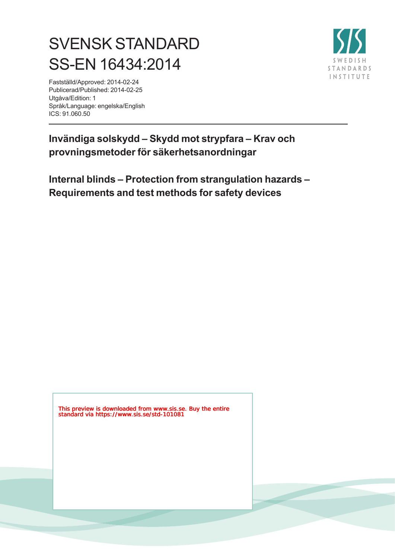# SVENSK STANDARD SS-EN 16434:2014

Fastställd/Approved: 2014-02-24 Publicerad/Published: 2014-02-25 Utgåva/Edition: 1 Språk/Language: engelska/English ICS: 91.060.50



**Invändiga solskydd – Skydd mot strypfara – Krav och provningsmetoder för säkerhetsanordningar**

**Internal blinds – Protection from strangulation hazards – Requirements and test methods for safety devices**

This preview is downloaded from www.sis.se. Buy the entire standard via https://www.sis.se/std-101081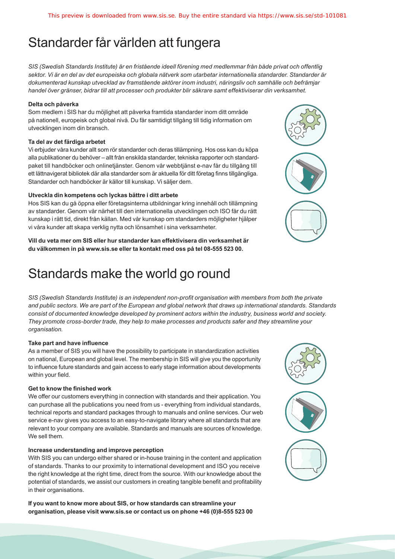## Standarder får världen att fungera

*SIS (Swedish Standards Institute) är en fristående ideell förening med medlemmar från både privat och offentlig sektor. Vi är en del av det europeiska och globala nätverk som utarbetar internationella standarder. Standarder är dokumenterad kunskap utvecklad av framstående aktörer inom industri, näringsliv och samhälle och befrämjar handel över gränser, bidrar till att processer och produkter blir säkrare samt effektiviserar din verksamhet.* 

#### **Delta och påverka**

Som medlem i SIS har du möjlighet att påverka framtida standarder inom ditt område på nationell, europeisk och global nivå. Du får samtidigt tillgång till tidig information om utvecklingen inom din bransch.

#### **Ta del av det färdiga arbetet**

Vi erbjuder våra kunder allt som rör standarder och deras tillämpning. Hos oss kan du köpa alla publikationer du behöver – allt från enskilda standarder, tekniska rapporter och standardpaket till handböcker och onlinetjänster. Genom vår webbtjänst e-nav får du tillgång till ett lättnavigerat bibliotek där alla standarder som är aktuella för ditt företag finns tillgängliga. Standarder och handböcker är källor till kunskap. Vi säljer dem.

#### **Utveckla din kompetens och lyckas bättre i ditt arbete**

Hos SIS kan du gå öppna eller företagsinterna utbildningar kring innehåll och tillämpning av standarder. Genom vår närhet till den internationella utvecklingen och ISO får du rätt kunskap i rätt tid, direkt från källan. Med vår kunskap om standarders möjligheter hjälper vi våra kunder att skapa verklig nytta och lönsamhet i sina verksamheter.

**Vill du veta mer om SIS eller hur standarder kan effektivisera din verksamhet är du välkommen in på www.sis.se eller ta kontakt med oss på tel 08-555 523 00.**

## Standards make the world go round

*SIS (Swedish Standards Institute) is an independent non-profit organisation with members from both the private and public sectors. We are part of the European and global network that draws up international standards. Standards consist of documented knowledge developed by prominent actors within the industry, business world and society. They promote cross-border trade, they help to make processes and products safer and they streamline your organisation.*

#### **Take part and have influence**

As a member of SIS you will have the possibility to participate in standardization activities on national, European and global level. The membership in SIS will give you the opportunity to influence future standards and gain access to early stage information about developments within your field.

#### **Get to know the finished work**

We offer our customers everything in connection with standards and their application. You can purchase all the publications you need from us - everything from individual standards, technical reports and standard packages through to manuals and online services. Our web service e-nav gives you access to an easy-to-navigate library where all standards that are relevant to your company are available. Standards and manuals are sources of knowledge. We sell them.

#### **Increase understanding and improve perception**

With SIS you can undergo either shared or in-house training in the content and application of standards. Thanks to our proximity to international development and ISO you receive the right knowledge at the right time, direct from the source. With our knowledge about the potential of standards, we assist our customers in creating tangible benefit and profitability in their organisations.

**If you want to know more about SIS, or how standards can streamline your organisation, please visit www.sis.se or contact us on phone +46 (0)8-555 523 00**



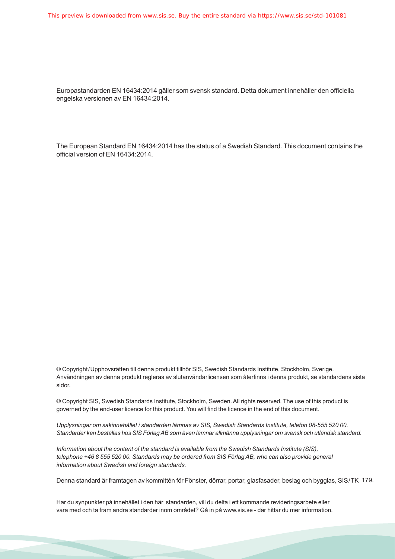Europastandarden EN 16434:2014 gäller som svensk standard. Detta dokument innehåller den officiella engelska versionen av EN 16434:2014.

The European Standard EN 16434:2014 has the status of a Swedish Standard. This document contains the official version of EN 16434:2014.

© Copyright / Upphovsrätten till denna produkt tillhör SIS, Swedish Standards Institute, Stockholm, Sverige. Användningen av denna produkt regleras av slutanvändarlicensen som återfinns i denna produkt, se standardens sista sidor.

© Copyright SIS, Swedish Standards Institute, Stockholm, Sweden. All rights reserved. The use of this product is governed by the end-user licence for this product. You will find the licence in the end of this document.

*Upplysningar om sakinnehållet i standarden lämnas av SIS, Swedish Standards Institute, telefon 08-555 520 00. Standarder kan beställas hos SIS Förlag AB som även lämnar allmänna upplysningar om svensk och utländsk standard.*

*Information about the content of the standard is available from the Swedish Standards Institute (SIS), telephone +46 8 555 520 00. Standards may be ordered from SIS Förlag AB, who can also provide general information about Swedish and foreign standards.*

Denna standard är framtagen av kommittén för Fönster, dörrar, portar, glasfasader, beslag och bygglas, SIS / TK 179.

Har du synpunkter på innehållet i den här standarden, vill du delta i ett kommande revideringsarbete eller vara med och ta fram andra standarder inom området? Gå in på www.sis.se - där hittar du mer information.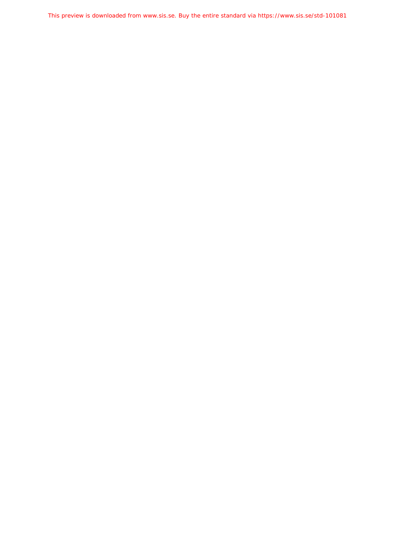This preview is downloaded from www.sis.se. Buy the entire standard via https://www.sis.se/std-101081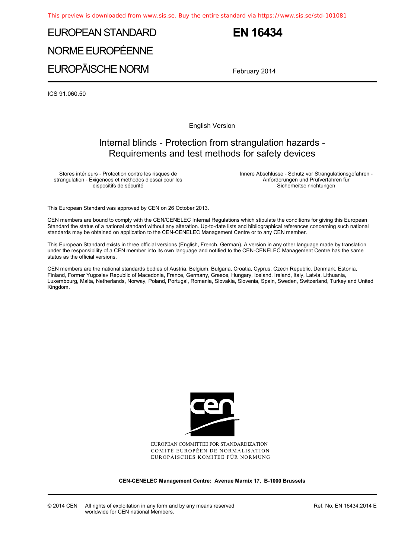## EUROPEAN STANDARD NORME EUROPÉENNE EUROPÄISCHE NORM

## **EN 16434**

February 2014

ICS 91.060.50

English Version

## Internal blinds - Protection from strangulation hazards - Requirements and test methods for safety devices

Stores intérieurs - Protection contre les risques de strangulation - Exigences et méthodes d'essai pour les dispositifs de sécurité

 Innere Abschlüsse - Schutz vor Strangulationsgefahren - Anforderungen und Prüfverfahren für Sicherheitseinrichtungen

This European Standard was approved by CEN on 26 October 2013.

CEN members are bound to comply with the CEN/CENELEC Internal Regulations which stipulate the conditions for giving this European Standard the status of a national standard without any alteration. Up-to-date lists and bibliographical references concerning such national standards may be obtained on application to the CEN-CENELEC Management Centre or to any CEN member.

This European Standard exists in three official versions (English, French, German). A version in any other language made by translation under the responsibility of a CEN member into its own language and notified to the CEN-CENELEC Management Centre has the same status as the official versions.

CEN members are the national standards bodies of Austria, Belgium, Bulgaria, Croatia, Cyprus, Czech Republic, Denmark, Estonia, Finland, Former Yugoslav Republic of Macedonia, France, Germany, Greece, Hungary, Iceland, Ireland, Italy, Latvia, Lithuania, Luxembourg, Malta, Netherlands, Norway, Poland, Portugal, Romania, Slovakia, Slovenia, Spain, Sweden, Switzerland, Turkey and United Kingdom.



EUROPEAN COMMITTEE FOR STANDARDIZATION COMITÉ EUROPÉEN DE NORMALISATION EUROPÄISCHES KOMITEE FÜR NORMUNG

**CEN-CENELEC Management Centre: Avenue Marnix 17, B-1000 Brussels** 

Ref. No. EN 16434:2014 E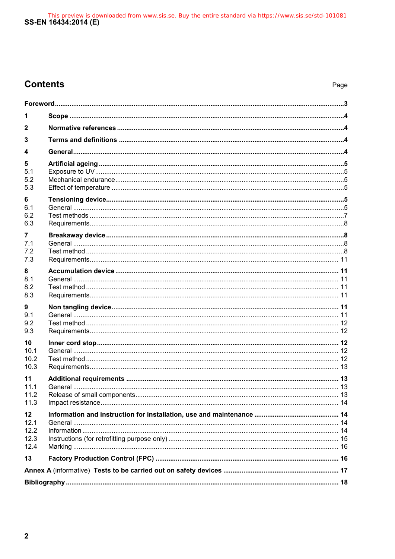This preview is downloaded from www.sis.se. Buy the entire standard via https://www.sis.se/std-101081<br>SS-EN 16434:2014 (E)

## **Contents**

| 1                                  |  |  |
|------------------------------------|--|--|
| $\mathbf{2}$                       |  |  |
| 3                                  |  |  |
| 4                                  |  |  |
| 5<br>5.1<br>5.2<br>5.3             |  |  |
| 6<br>6.1<br>6.2<br>6.3             |  |  |
| 7<br>7.1<br>7.2<br>7.3             |  |  |
| 8<br>8.1<br>8.2<br>8.3             |  |  |
| 9<br>9.1<br>9.2<br>9.3             |  |  |
| 10<br>10.1<br>10.2<br>10.3         |  |  |
| 11<br>11.1<br>11.2<br>11.3         |  |  |
| 12<br>12.1<br>12.2<br>12.3<br>12.4 |  |  |
| 13                                 |  |  |
|                                    |  |  |
|                                    |  |  |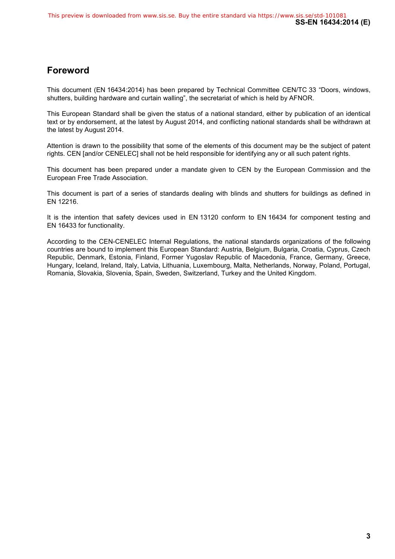## <span id="page-6-0"></span>**Foreword**

This document (EN 16434:2014) has been prepared by Technical Committee CEN/TC 33 "Doors, windows, shutters, building hardware and curtain walling", the secretariat of which is held by AFNOR.

This European Standard shall be given the status of a national standard, either by publication of an identical text or by endorsement, at the latest by August 2014, and conflicting national standards shall be withdrawn at the latest by August 2014.

Attention is drawn to the possibility that some of the elements of this document may be the subject of patent rights. CEN [and/or CENELEC] shall not be held responsible for identifying any or all such patent rights.

This document has been prepared under a mandate given to CEN by the European Commission and the European Free Trade Association.

This document is part of a series of standards dealing with blinds and shutters for buildings as defined in EN 12216.

It is the intention that safety devices used in EN 13120 conform to EN 16434 for component testing and EN 16433 for functionality.

According to the CEN-CENELEC Internal Regulations, the national standards organizations of the following countries are bound to implement this European Standard: Austria, Belgium, Bulgaria, Croatia, Cyprus, Czech Republic, Denmark, Estonia, Finland, Former Yugoslav Republic of Macedonia, France, Germany, Greece, Hungary, Iceland, Ireland, Italy, Latvia, Lithuania, Luxembourg, Malta, Netherlands, Norway, Poland, Portugal, Romania, Slovakia, Slovenia, Spain, Sweden, Switzerland, Turkey and the United Kingdom.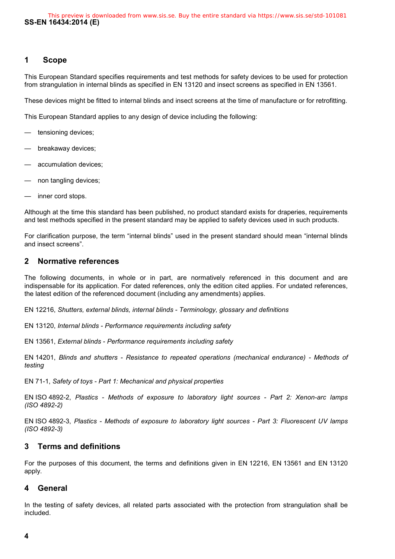#### <span id="page-7-0"></span>**1 Scope**

This European Standard specifies requirements and test methods for safety devices to be used for protection from strangulation in internal blinds as specified in EN 13120 and insect screens as specified in EN 13561.

These devices might be fitted to internal blinds and insect screens at the time of manufacture or for retrofitting.

This European Standard applies to any design of device including the following:

- tensioning devices;
- breakaway devices;
- accumulation devices:
- non tangling devices;
- inner cord stops.

Although at the time this standard has been published, no product standard exists for draperies, requirements and test methods specified in the present standard may be applied to safety devices used in such products.

For clarification purpose, the term "internal blinds" used in the present standard should mean "internal blinds and insect screens".

#### <span id="page-7-1"></span>**2 Normative references**

The following documents, in whole or in part, are normatively referenced in this document and are indispensable for its application. For dated references, only the edition cited applies. For undated references, the latest edition of the referenced document (including any amendments) applies.

EN 12216, *Shutters, external blinds, internal blinds - Terminology, glossary and definitions*

EN 13120, *Internal blinds - Performance requirements including safety*

EN 13561, *External blinds - Performance requirements including safety*

EN 14201, *Blinds and shutters - Resistance to repeated operations (mechanical endurance) - Methods of testing*

EN 71-1, *Safety of toys - Part 1: Mechanical and physical properties*

EN ISO 4892-2, *Plastics - Methods of exposure to laboratory light sources - Part 2: Xenon-arc lamps (ISO 4892-2)*

EN ISO 4892-3, *Plastics - Methods of exposure to laboratory light sources - Part 3: Fluorescent UV lamps (ISO 4892-3)*

### <span id="page-7-2"></span>**3 Terms and definitions**

For the purposes of this document, the terms and definitions given in EN 12216, EN 13561 and EN 13120 apply.

#### <span id="page-7-3"></span>**4 General**

In the testing of safety devices, all related parts associated with the protection from strangulation shall be included.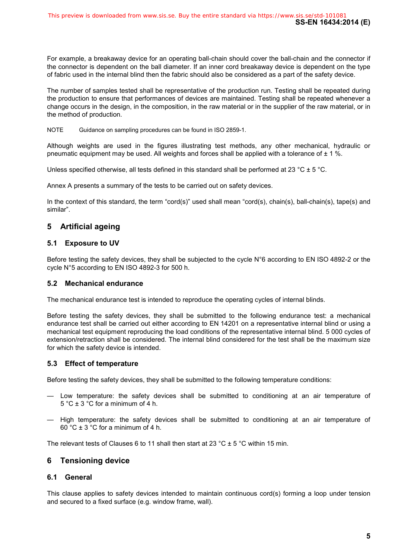For example, a breakaway device for an operating ball-chain should cover the ball-chain and the connector if the connector is dependent on the ball diameter. If an inner cord breakaway device is dependent on the type of fabric used in the internal blind then the fabric should also be considered as a part of the safety device.

The number of samples tested shall be representative of the production run. Testing shall be repeated during the production to ensure that performances of devices are maintained. Testing shall be repeated whenever a change occurs in the design, in the composition, in the raw material or in the supplier of the raw material, or in the method of production.

NOTE Guidance on sampling procedures can be found in ISO 2859-1.

Although weights are used in the figures illustrating test methods, any other mechanical, hydraulic or pneumatic equipment may be used. All weights and forces shall be applied with a tolerance of  $\pm$  1 %.

Unless specified otherwise, all tests defined in this standard shall be performed at 23 °C  $\pm$  5 °C.

Annex A presents a summary of the tests to be carried out on safety devices.

In the context of this standard, the term "cord(s)" used shall mean "cord(s), chain(s), ball-chain(s), tape(s) and similar".

## <span id="page-8-0"></span>**5 Artificial ageing**

### <span id="page-8-1"></span>**5.1 Exposure to UV**

Before testing the safety devices, they shall be subjected to the cycle N°6 according to EN ISO 4892-2 or the cycle N°5 according to EN ISO 4892-3 for 500 h.

#### <span id="page-8-2"></span>**5.2 Mechanical endurance**

The mechanical endurance test is intended to reproduce the operating cycles of internal blinds.

Before testing the safety devices, they shall be submitted to the following endurance test: a mechanical endurance test shall be carried out either according to EN 14201 on a representative internal blind or using a mechanical test equipment reproducing the load conditions of the representative internal blind. 5 000 cycles of extension/retraction shall be considered. The internal blind considered for the test shall be the maximum size for which the safety device is intended.

### <span id="page-8-3"></span>**5.3 Effect of temperature**

Before testing the safety devices, they shall be submitted to the following temperature conditions:

- Low temperature: the safety devices shall be submitted to conditioning at an air temperature of 5 °C ± 3 °C for a minimum of 4 h.
- High temperature: the safety devices shall be submitted to conditioning at an air temperature of 60 °C  $\pm$  3 °C for a minimum of 4 h.

The relevant tests of Clauses 6 to 11 shall then start at 23 °C  $\pm$  5 °C within 15 min.

### <span id="page-8-4"></span>**6 Tensioning device**

#### <span id="page-8-5"></span>**6.1 General**

This clause applies to safety devices intended to maintain continuous cord(s) forming a loop under tension and secured to a fixed surface (e.g. window frame, wall).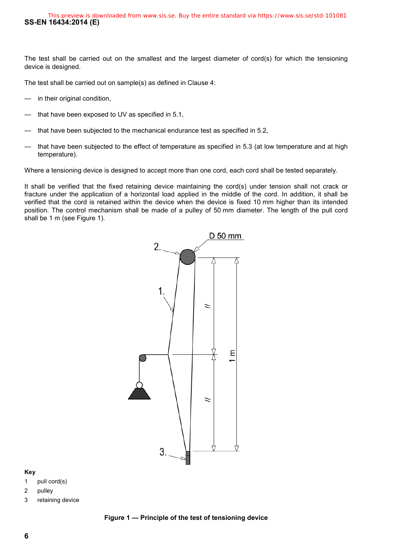The test shall be carried out on the smallest and the largest diameter of cord(s) for which the tensioning device is designed.

The test shall be carried out on sample(s) as defined in Clause 4:

- in their original condition,
- that have been exposed to UV as specified in 5.1,
- that have been subjected to the mechanical endurance test as specified in 5.2,
- that have been subjected to the effect of temperature as specified in 5.3 (at low temperature and at high temperature).

Where a tensioning device is designed to accept more than one cord, each cord shall be tested separately.

It shall be verified that the fixed retaining device maintaining the cord(s) under tension shall not crack or fracture under the application of a horizontal load applied in the middle of the cord. In addition, it shall be verified that the cord is retained within the device when the device is fixed 10 mm higher than its intended position. The control mechanism shall be made of a pulley of 50 mm diameter. The length of the pull cord shall be 1 m (see Figure 1).



#### **Key**

- 1 pull cord(s)
- 2 pulley
- 3 retaining device

**Figure 1 — Principle of the test of tensioning device**